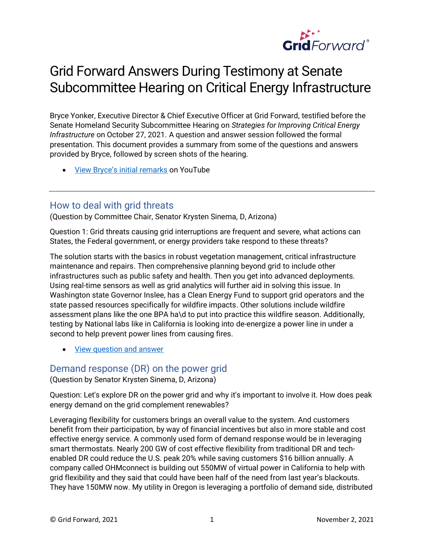

# Grid Forward Answers During Testimony at Senate Subcommittee Hearing on Critical Energy Infrastructure

Bryce Yonker, Executive Director & Chief Executive Officer at Grid Forward, testified before the Senate Homeland Security Subcommittee Hearing on *Strategies for Improving Critical Energy Infrastructure* on October 27, 2021. A question and answer session followed the formal presentation. This document provides a summary from some of the questions and answers provided by Bryce, followed by screen shots of the hearing.

• [View Bryce's initial remarks](https://youtu.be/squ62Eth-iY) on YouTube

# How to deal with grid threats

(Question by Committee Chair, Senator Krysten Sinema, D, Arizona)

Question 1: Grid threats causing grid interruptions are frequent and severe, what actions can States, the Federal government, or energy providers take respond to these threats?

The solution starts with the basics in robust vegetation management, critical infrastructure maintenance and repairs. Then comprehensive planning beyond grid to include other infrastructures such as public safety and health. Then you get into advanced deployments. Using real-time sensors as well as grid analytics will further aid in solving this issue. In Washington state Governor Inslee, has a Clean Energy Fund to support grid operators and the state passed resources specifically for wildfire impacts. Other solutions include wildfire assessment plans like the one BPA ha\d to put into practice this wildfire season. Additionally, testing by National labs like in California is looking into de-energize a power line in under a second to help prevent power lines from causing fires.

• [View question and answer](https://youtu.be/lsf2VT7dLMU)

# Demand response (DR) on the power grid

(Question by Senator Krysten Sinema, D, Arizona)

Question: Let's explore DR on the power grid and why it's important to involve it. How does peak energy demand on the grid complement renewables?

Leveraging flexibility for customers brings an overall value to the system. And customers benefit from their participation, by way of financial incentives but also in more stable and cost effective energy service. A commonly used form of demand response would be in leveraging smart thermostats. Nearly 200 GW of cost effective flexibility from traditional DR and techenabled DR could reduce the U.S. peak 20% while saving customers \$16 billion annually. A company called OHMconnect is building out 550MW of virtual power in California to help with grid flexibility and they said that could have been half of the need from last year's blackouts. They have 150MW now. My utility in Oregon is leveraging a portfolio of demand side, distributed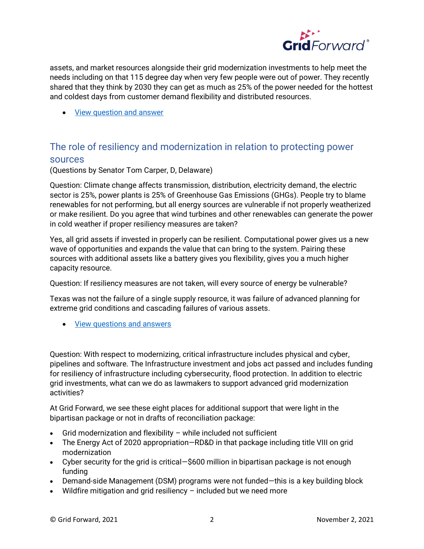

assets, and market resources alongside their grid modernization investments to help meet the needs including on that 115 degree day when very few people were out of power. They recently shared that they think by 2030 they can get as much as 25% of the power needed for the hottest and coldest days from customer demand flexibility and distributed resources.

• [View question and answer](https://youtu.be/gLSV0V9IQG0)

# The role of resiliency and modernization in relation to protecting power sources

(Questions by Senator Tom Carper, D, Delaware)

Question: Climate change affects transmission, distribution, electricity demand, the electric sector is 25%, power plants is 25% of Greenhouse Gas Emissions (GHGs). People try to blame renewables for not performing, but all energy sources are vulnerable if not properly weatherized or make resilient. Do you agree that wind turbines and other renewables can generate the power in cold weather if proper resiliency measures are taken?

Yes, all grid assets if invested in properly can be resilient. Computational power gives us a new wave of opportunities and expands the value that can bring to the system. Pairing these sources with additional assets like a battery gives you flexibility, gives you a much higher capacity resource.

Question: If resiliency measures are not taken, will every source of energy be vulnerable?

Texas was not the failure of a single supply resource, it was failure of advanced planning for extreme grid conditions and cascading failures of various assets.

• [View questions and answers](https://youtu.be/-6EqXgcWXjs)

Question: With respect to modernizing, critical infrastructure includes physical and cyber, pipelines and software. The Infrastructure investment and jobs act passed and includes funding for resiliency of infrastructure including cybersecurity, flood protection. In addition to electric grid investments, what can we do as lawmakers to support advanced grid modernization activities?

At Grid Forward, we see these eight places for additional support that were light in the bipartisan package or not in drafts of reconciliation package:

- Grid modernization and flexibility while included not sufficient
- The Energy Act of 2020 appropriation–RD&D in that package including title VIII on grid modernization
- Cyber security for the grid is critical—\$600 million in bipartisan package is not enough funding
- Demand-side Management (DSM) programs were not funded—this is a key building block
- Wildfire mitigation and grid resiliency included but we need more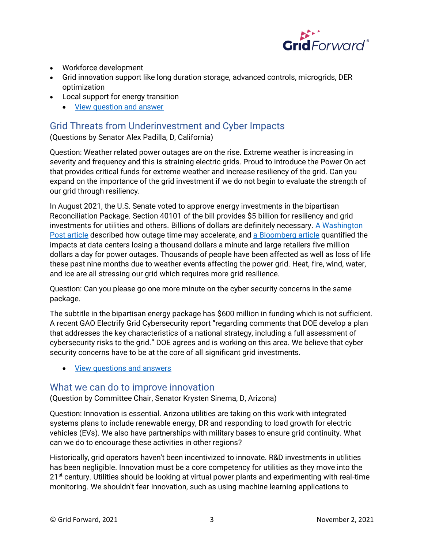

- Workforce development
- Grid innovation support like long duration storage, advanced controls, microgrids, DER optimization
- Local support for energy transition
	- [View question and answer](https://youtu.be/_niNmtRo7gI)

# Grid Threats from Underinvestment and Cyber Impacts

(Questions by Senator Alex Padilla, D, California)

Question: Weather related power outages are on the rise. Extreme weather is increasing in severity and frequency and this is straining electric grids. Proud to introduce the Power On act that provides critical funds for extreme weather and increase resiliency of the grid. Can you expand on the importance of the grid investment if we do not begin to evaluate the strength of our grid through resiliency.

In August 2021, the U.S. Senate voted to approve energy investments in the bipartisan Reconciliation Package. Section 40101 of the bill provides \$5 billion for resiliency and grid investments for utilities and others. Billions of dollars are definitely necessary. A Washington [Post article](https://www.washingtonpost.com/business/2021/10/24/climate-change-power-outages/) described how outage time may accelerate, and [a Bloomberg article](https://www.bloomenergy.com/blog/a-day-without-power-outage-costs-for-businesses/) quantified the impacts at data centers losing a thousand dollars a minute and large retailers five million dollars a day for power outages. Thousands of people have been affected as well as loss of life these past nine months due to weather events affecting the power grid. Heat, fire, wind, water, and ice are all stressing our grid which requires more grid resilience.

Question: Can you please go one more minute on the cyber security concerns in the same package.

The subtitle in the bipartisan energy package has \$600 million in funding which is not sufficient. A recent GAO Electrify Grid Cybersecurity report "regarding comments that DOE develop a plan that addresses the key characteristics of a national strategy, including a full assessment of cybersecurity risks to the grid." DOE agrees and is working on this area. We believe that cyber security concerns have to be at the core of all significant grid investments.

• [View questions and answers](https://youtu.be/DUESr4Ji4Fs)

# What we can do to improve innovation

(Question by Committee Chair, Senator Krysten Sinema, D, Arizona)

Question: Innovation is essential. Arizona utilities are taking on this work with integrated systems plans to include renewable energy, DR and responding to load growth for electric vehicles (EVs). We also have partnerships with military bases to ensure grid continuity. What can we do to encourage these activities in other regions?

Historically, grid operators haven't been incentivized to innovate. R&D investments in utilities has been negligible. Innovation must be a core competency for utilities as they move into the 21<sup>st</sup> century. Utilities should be looking at virtual power plants and experimenting with real-time monitoring. We shouldn't fear innovation, such as using machine learning applications to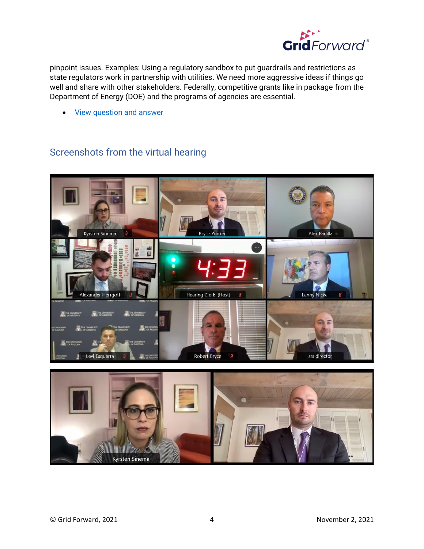

pinpoint issues. Examples: Using a regulatory sandbox to put guardrails and restrictions as state regulators work in partnership with utilities. We need more aggressive ideas if things go well and share with other stakeholders. Federally, competitive grants like in package from the Department of Energy (DOE) and the programs of agencies are essential.

**[View question and answer](https://youtu.be/J69_KMEe3ds)** 

# Screenshots from the virtual hearing